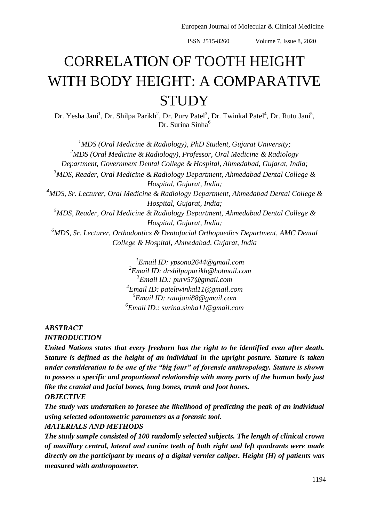# CORRELATION OF TOOTH HEIGHT WITH BODY HEIGHT: A COMPARATIVE **STUDY**

Dr. Yesha Jani<sup>1</sup>, Dr. Shilpa Parikh<sup>2</sup>, Dr. Purv Patel<sup>3</sup>, Dr. Twinkal Patel<sup>4</sup>, Dr. Rutu Jani<sup>5</sup>, Dr. Surina Sinha<sup>6</sup>

*<sup>1</sup>MDS (Oral Medicine & Radiology), PhD Student, Gujarat University; <sup>2</sup>MDS (Oral Medicine & Radiology), Professor, Oral Medicine & Radiology Department, Government Dental College & Hospital, Ahmedabad, Gujarat, India; <sup>3</sup>MDS, Reader, Oral Medicine & Radiology Department, Ahmedabad Dental College & Hospital, Gujarat, India; <sup>4</sup>MDS, Sr. Lecturer, Oral Medicine & Radiology Department, Ahmedabad Dental College & Hospital, Gujarat, India; <sup>5</sup>MDS, Reader, Oral Medicine & Radiology Department, Ahmedabad Dental College & Hospital, Gujarat, India; <sup>6</sup>MDS, Sr. Lecturer, Orthodontics & Dentofacial Orthopaedics Department, AMC Dental College & Hospital, Ahmedabad, Gujarat, India*

> *Email ID: ypsono2644@gmail.com Email ID: drshilpaparikh@hotmail.com Email ID.: [purv57@gmail.com](mailto:purv57@gmail.com) Email ID: [pateltwinkal11@gmail.com](mailto:pateltwinkal11@gmail.com) Email ID: rutujani88@gmail.com Email ID.: [surina.sinha11@gmail.com](mailto:surina.sinha11@gmail.com)*

## *ABSTRACT*

*INTRODUCTION*

*United Nations states that every freeborn has the right to be identified even after death. Stature is defined as the height of an individual in the upright posture. Stature is taken under consideration to be one of the "big four" of forensic anthropology. Stature is shown to possess a specific and proportional relationship with many parts of the human body just like the cranial and facial bones, long bones, trunk and foot bones.*

## *OBJECTIVE*

*The study was undertaken to foresee the likelihood of predicting the peak of an individual using selected odontometric parameters as a forensic tool.*

### *MATERIALS AND METHODS*

*The study sample consisted of 100 randomly selected subjects. The length of clinical crown of maxillary central, lateral and canine teeth of both right and left quadrants were made directly on the participant by means of a digital vernier caliper. Height (H) of patients was measured with anthropometer.*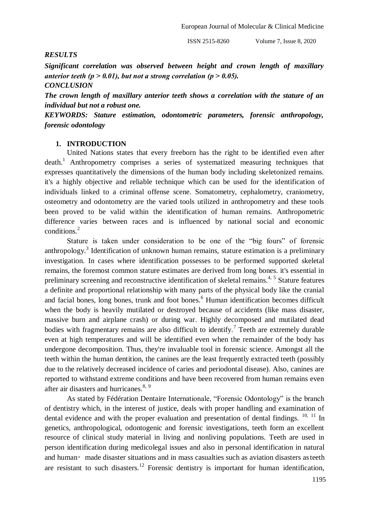#### *RESULTS*

*Significant correlation was observed between height and crown length of maxillary anterior teeth (p > 0.01), but not a strong correlation (p > 0.05).* 

*CONCLUSION*

*The crown length of maxillary anterior teeth shows a correlation with the stature of an individual but not a robust one.*

*KEYWORDS: Stature estimation, odontometric parameters, forensic anthropology, forensic odontology*

#### **1. INTRODUCTION**

United Nations states that every freeborn has the right to be identified even after  $death<sup>1</sup>$  Anthropometry comprises a series of systematized measuring techniques that expresses quantitatively the dimensions of the human body including skeletonized remains. it's a highly objective and reliable technique which can be used for the identification of individuals linked to a criminal offense scene. Somatometry, cephalometry, craniometry, osteometry and odontometry are the varied tools utilized in anthropometry and these tools been proved to be valid within the identification of human remains. Anthropometric difference varies between races and is influenced by national social and economic conditions.<sup>2</sup>

Stature is taken under consideration to be one of the "big fours" of forensic anthropology.<sup>3</sup> Identification of unknown human remains, stature estimation is a preliminary investigation. In cases where identification possesses to be performed supported skeletal remains, the foremost common stature estimates are derived from long bones. it's essential in preliminary screening and reconstructive identification of skeletal remains.<sup>4, 5</sup> Stature features a definite and proportional relationship with many parts of the physical body like the cranial and facial bones, long bones, trunk and foot bones.<sup>6</sup> Human identification becomes difficult when the body is heavily mutilated or destroyed because of accidents (like mass disaster, massive burn and airplane crash) or during war. Highly decomposed and mutilated dead bodies with fragmentary remains are also difficult to identify.<sup>7</sup> Teeth are extremely durable even at high temperatures and will be identified even when the remainder of the body has undergone decomposition. Thus, they're invaluable tool in forensic science. Amongst all the teeth within the human dentition, the canines are the least frequently extracted teeth (possibly due to the relatively decreased incidence of caries and periodontal disease). Also, canines are reported to withstand extreme conditions and have been recovered from human remains even after air disasters and hurricanes.<sup>8, 9</sup>

As stated by Fédération Dentaire Internationale, "Forensic Odontology" is the branch of dentistry which, in the interest of justice, deals with proper handling and examination of dental evidence and with the proper evaluation and presentation of dental findings.  $10, 11$  In genetics, anthropological, odontogenic and forensic investigations, teeth form an excellent resource of clinical study material in living and nonliving populations. Teeth are used in person identification during medicolegal issues and also in personal identification in natural and human‑ made disaster situations and in mass casualties such as aviation disasters asteeth are resistant to such disasters.<sup>12</sup> Forensic dentistry is important for human identification,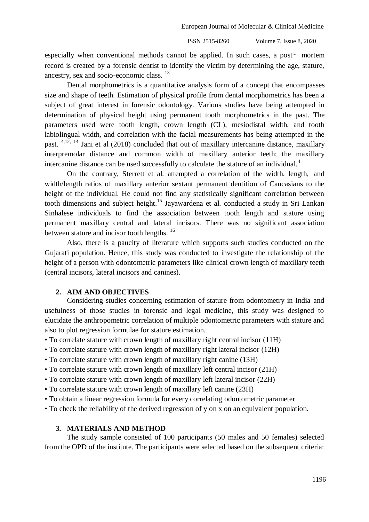especially when conventional methods cannot be applied. In such cases, a post- mortem record is created by a forensic dentist to identify the victim by determining the age, stature, ancestry, sex and socio-economic class. <sup>13</sup>

Dental morphometrics is a quantitative analysis form of a concept that encompasses size and shape of teeth. Estimation of physical profile from dental morphometrics has been a subject of great interest in forensic odontology. Various studies have being attempted in determination of physical height using permanent tooth morphometrics in the past. The parameters used were tooth length, crown length (CL), mesiodistal width, and tooth labiolingual width, and correlation with the facial measurements has being attempted in the past. 4,12, <sup>14</sup> Jani et al (2018) concluded that out of maxillary intercanine distance, maxillary interpremolar distance and common width of maxillary anterior teeth; the maxillary intercanine distance can be used successfully to calculate the stature of an individual.<sup>4</sup>

On the contrary, Sterrett et al. attempted a correlation of the width, length, and width/length ratios of maxillary anterior sextant permanent dentition of Caucasians to the height of the individual. He could not find any statistically significant correlation between tooth dimensions and subject height.<sup>15</sup> Jayawardena et al. conducted a study in Sri Lankan Sinhalese individuals to find the association between tooth length and stature using permanent maxillary central and lateral incisors. There was no significant association between stature and incisor tooth lengths. <sup>16</sup>

Also, there is a paucity of literature which supports such studies conducted on the Gujarati population. Hence, this study was conducted to investigate the relationship of the height of a person with odontometric parameters like clinical crown length of maxillary teeth (central incisors, lateral incisors and canines).

#### **2. AIM AND OBJECTIVES**

Considering studies concerning estimation of stature from odontometry in India and usefulness of those studies in forensic and legal medicine, this study was designed to elucidate the anthropometric correlation of multiple odontometric parameters with stature and also to plot regression formulae for stature estimation.

- To correlate stature with crown length of maxillary right central incisor (11H)
- To correlate stature with crown length of maxillary right lateral incisor (12H)
- To correlate stature with crown length of maxillary right canine (13H)
- To correlate stature with crown length of maxillary left central incisor (21H)
- To correlate stature with crown length of maxillary left lateral incisor (22H)
- To correlate stature with crown length of maxillary left canine (23H)
- To obtain a linear regression formula for every correlating odontometric parameter
- To check the reliability of the derived regression of y on x on an equivalent population.

#### **3. MATERIALS AND METHOD**

The study sample consisted of 100 participants (50 males and 50 females) selected from the OPD of the institute. The participants were selected based on the subsequent criteria: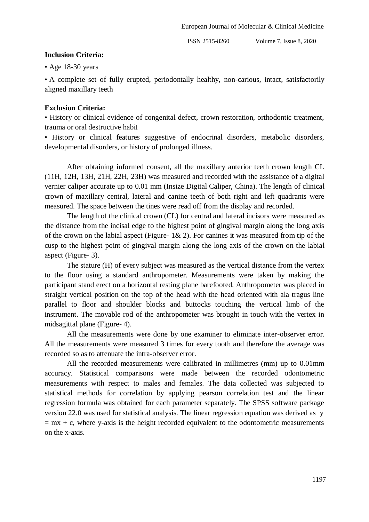#### **Inclusion Criteria:**

• Age 18-30 years

• A complete set of fully erupted, periodontally healthy, non-carious, intact, satisfactorily aligned maxillary teeth

## **Exclusion Criteria:**

• History or clinical evidence of congenital defect, crown restoration, orthodontic treatment, trauma or oral destructive habit

• History or clinical features suggestive of endocrinal disorders, metabolic disorders, developmental disorders, or history of prolonged illness.

After obtaining informed consent, all the maxillary anterior teeth crown length CL (11H, 12H, 13H, 21H, 22H, 23H) was measured and recorded with the assistance of a digital vernier caliper accurate up to 0.01 mm (Insize Digital Caliper, China). The length of clinical crown of maxillary central, lateral and canine teeth of both right and left quadrants were measured. The space between the tines were read off from the display and recorded.

The length of the clinical crown (CL) for central and lateral incisors were measured as the distance from the incisal edge to the highest point of gingival margin along the long axis of the crown on the labial aspect (Figure-  $1\& 2$ ). For canines it was measured from tip of the cusp to the highest point of gingival margin along the long axis of the crown on the labial aspect (Figure- 3).

The stature (H) of every subject was measured as the vertical distance from the vertex to the floor using a standard anthropometer. Measurements were taken by making the participant stand erect on a horizontal resting plane barefooted. Anthropometer was placed in straight vertical position on the top of the head with the head oriented with ala tragus line parallel to floor and shoulder blocks and buttocks touching the vertical limb of the instrument. The movable rod of the anthropometer was brought in touch with the vertex in midsagittal plane (Figure- 4).

All the measurements were done by one examiner to eliminate inter-observer error. All the measurements were measured 3 times for every tooth and therefore the average was recorded so as to attenuate the intra-observer error.

All the recorded measurements were calibrated in millimetres (mm) up to 0.01mm accuracy. Statistical comparisons were made between the recorded odontometric measurements with respect to males and females. The data collected was subjected to statistical methods for correlation by applying pearson correlation test and the linear regression formula was obtained for each parameter separately. The SPSS software package version 22.0 was used for statistical analysis. The linear regression equation was derived as y  $=$  mx + c, where y-axis is the height recorded equivalent to the odontometric measurements on the x-axis.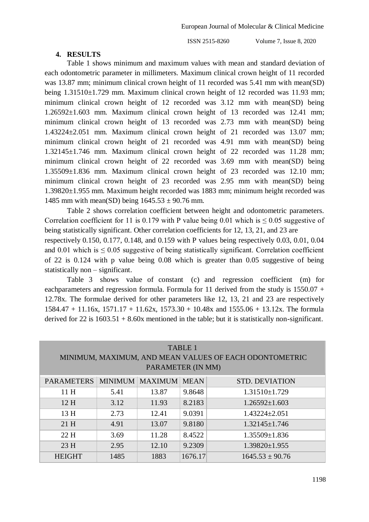#### **4. RESULTS**

Table 1 shows minimum and maximum values with mean and standard deviation of each odontometric parameter in millimeters. Maximum clinical crown height of 11 recorded was 13.87 mm; minimum clinical crown height of 11 recorded was 5.41 mm with mean(SD) being  $1.31510\pm1.729$  mm. Maximum clinical crown height of 12 recorded was 11.93 mm; minimum clinical crown height of 12 recorded was 3.12 mm with mean(SD) being 1.26592±1.603 mm. Maximum clinical crown height of 13 recorded was 12.41 mm; minimum clinical crown height of 13 recorded was 2.73 mm with mean(SD) being 1.43224±2.051 mm. Maximum clinical crown height of 21 recorded was 13.07 mm; minimum clinical crown height of 21 recorded was 4.91 mm with mean(SD) being 1.32145±1.746 mm. Maximum clinical crown height of 22 recorded was 11.28 mm; minimum clinical crown height of 22 recorded was 3.69 mm with mean(SD) being 1.35509±1.836 mm. Maximum clinical crown height of 23 recorded was 12.10 mm; minimum clinical crown height of 23 recorded was 2.95 mm with mean(SD) being 1.39820±1.955 mm. Maximum height recorded was 1883 mm; minimum height recorded was 1485 mm with mean(SD) being  $1645.53 \pm 90.76$  mm.

Table 2 shows correlation coefficient between height and odontometric parameters. Correlation coefficient for 11 is 0.179 with P value being 0.01 which is  $\leq 0.05$  suggestive of being statistically significant. Other correlation coefficients for 12, 13, 21, and 23 are respectively 0.150, 0.177, 0.148, and 0.159 with P values being respectively 0.03, 0.01, 0.04 and 0.01 which is  $\leq 0.05$  suggestive of being statistically significant. Correlation coefficient of 22 is 0.124 with p value being 0.08 which is greater than 0.05 suggestive of being statistically non – significant.

Table 3 shows value of constant (c) and regression coefficient (m) for eachparameters and regression formula. Formula for 11 derived from the study is  $1550.07 +$ 12.78x. The formulae derived for other parameters like 12, 13, 21 and 23 are respectively  $1584.47 + 11.16x$ ,  $1571.17 + 11.62x$ ,  $1573.30 + 10.48x$  and  $1555.06 + 13.12x$ . The formula derived for 22 is  $1603.51 + 8.60x$  mentioned in the table; but it is statistically non-significant.

| <b>TABLE 1</b><br>MINIMUM, MAXIMUM, AND MEAN VALUES OF EACH ODONTOMETRIC<br>PARAMETER (IN MM) |      |                   |         |                       |  |  |  |  |  |  |
|-----------------------------------------------------------------------------------------------|------|-------------------|---------|-----------------------|--|--|--|--|--|--|
| <b>PARAMETERS</b>                                                                             |      | MINIMUM   MAXIMUM | MEAN    | <b>STD. DEVIATION</b> |  |  |  |  |  |  |
| 11 H                                                                                          | 5.41 | 13.87             | 9.8648  | $1.31510 \pm 1.729$   |  |  |  |  |  |  |
| 12H                                                                                           | 3.12 | 11.93             | 8.2183  | $1.26592 \pm 1.603$   |  |  |  |  |  |  |
| 13H                                                                                           | 2.73 | 12.41             | 9.0391  | $1.43224 \pm 2.051$   |  |  |  |  |  |  |
| 21H                                                                                           | 4.91 | 13.07             | 9.8180  | $1.32145 \pm 1.746$   |  |  |  |  |  |  |
| 22H                                                                                           | 3.69 | 11.28             | 8.4522  | $1.35509 \pm 1.836$   |  |  |  |  |  |  |
| 23H                                                                                           | 2.95 | 12.10             | 9.2309  | $1.39820 \pm 1.955$   |  |  |  |  |  |  |
| <b>HEIGHT</b>                                                                                 | 1485 | 1883              | 1676.17 | $1645.53 \pm 90.76$   |  |  |  |  |  |  |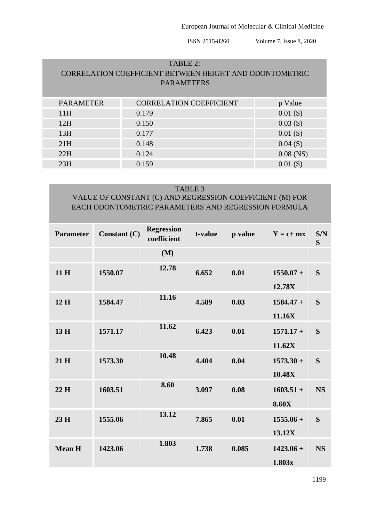## TABLE 2: CORRELATION COEFFICIENT BETWEEN HEIGHT AND ODONTOMETRIC PARAMETERS

| <b>PARAMETER</b> | <b>CORRELATION COEFFICIENT</b> | p Value     |
|------------------|--------------------------------|-------------|
| 11H              | 0.179                          | 0.01(S)     |
| 12H              | 0.150                          | 0.03(S)     |
| 13H              | 0.177                          | 0.01(S)     |
| 21H              | 0.148                          | 0.04(S)     |
| 22H              | 0.124                          | $0.08$ (NS) |
| 23H              | 0.159                          | 0.01(S)     |

## TABLE 3

VALUE OF CONSTANT (C) AND REGRESSION COEFFICIENT (M) FOR EACH ODONTOMETRIC PARAMETERS AND REGRESSION FORMULA

| <b>Parameter</b> | Constant (C) | <b>Regression</b><br>coefficient | t-value | p value | $Y = c + mx$                | S/N<br>S  |
|------------------|--------------|----------------------------------|---------|---------|-----------------------------|-----------|
|                  |              | (M)                              |         |         |                             |           |
| 11 H             | 1550.07      | 12.78                            | 6.652   | 0.01    | $1550.07 +$<br>12.78X       | S         |
| 12H              | 1584.47      | 11.16                            | 4.589   | 0.03    | $1584.47 +$<br>11.16X       | S         |
| 13 H             | 1571.17      | 11.62                            | 6.423   | 0.01    | $1571.17 +$<br>11.62X       | S         |
| 21H              | 1573.30      | 10.48                            | 4.404   | 0.04    | $1573.30 +$<br>10.48X       | S         |
| 22H              | 1603.51      | 8.60                             | 3.097   | 0.08    | $1603.51 +$<br><b>8.60X</b> | <b>NS</b> |
| 23H              | 1555.06      | 13.12                            | 7.865   | 0.01    | $1555.06 +$<br>13.12X       | S         |
| <b>Mean H</b>    | 1423.06      | 1.803                            | 1.738   | 0.085   | $1423.06 +$<br>1.803x       | <b>NS</b> |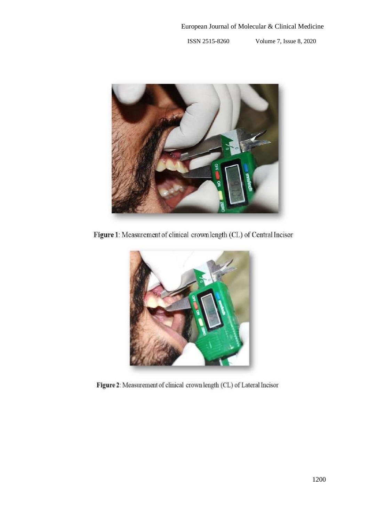

Figure 1: Measurement of clinical crown length (CL) of Central Incisor



Figure 2: Measurement of clinical crown length (CL) of Lateral Incisor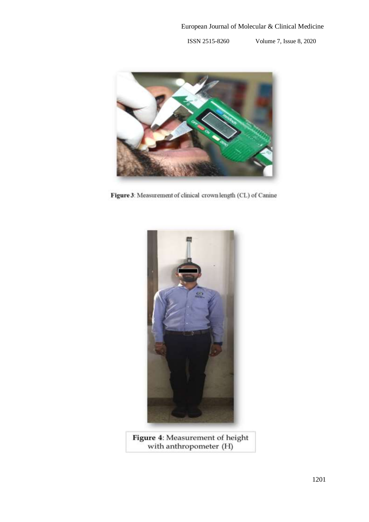

Figure 3: Measurement of clinical crown length (CL) of Canine



**Figure 4:** Measurement of height<br>with anthropometer (H)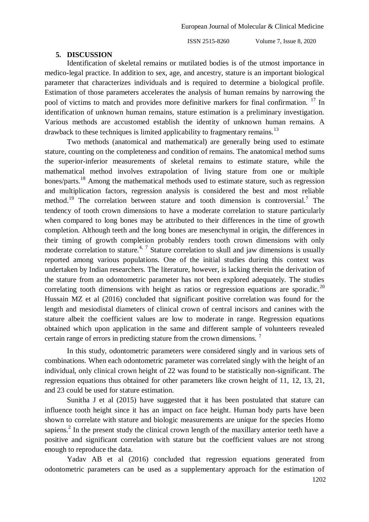#### **5. DISCUSSION**

Identification of skeletal remains or mutilated bodies is of the utmost importance in medico-legal practice. In addition to sex, age, and ancestry, stature is an important biological parameter that characterizes individuals and is required to determine a biological profile. Estimation of those parameters accelerates the analysis of human remains by narrowing the pool of victims to match and provides more definitive markers for final confirmation. <sup>17</sup> In identification of unknown human remains, stature estimation is a preliminary investigation. Various methods are accustomed establish the identity of unknown human remains. A drawback to these techniques is limited applicability to fragmentary remains.<sup>13</sup>

Two methods (anatomical and mathematical) are generally being used to estimate stature, counting on the completeness and condition of remains. The anatomical method sums the superior-inferior measurements of skeletal remains to estimate stature, while the mathematical method involves extrapolation of living stature from one or multiple bones/parts.<sup>18</sup> Among the mathematical methods used to estimate stature, such as regression and multiplication factors, regression analysis is considered the best and most reliable method.<sup>19</sup> The correlation between stature and tooth dimension is controversial.<sup>7</sup> The tendency of tooth crown dimensions to have a moderate correlation to stature particularly when compared to long bones may be attributed to their differences in the time of growth completion. Although teeth and the long bones are mesenchymal in origin, the differences in their timing of growth completion probably renders tooth crown dimensions with only moderate correlation to stature.<sup>4, 7</sup> Stature correlation to skull and jaw dimensions is usually reported among various populations. One of the initial studies during this context was undertaken by Indian researchers. The literature, however, is lacking therein the derivation of the stature from an odontometric parameter has not been explored adequately. The studies correlating tooth dimensions with height as ratios or regression equations are sporadic.<sup>20</sup> Hussain MZ et al (2016) concluded that significant positive correlation was found for the length and mesiodistal diameters of clinical crown of central incisors and canines with the stature albeit the coefficient values are low to moderate in range. Regression equations obtained which upon application in the same and different sample of volunteers revealed certain range of errors in predicting stature from the crown dimensions. <sup>7</sup>

In this study, odontometric parameters were considered singly and in various sets of combinations. When each odontometric parameter was correlated singly with the height of an individual, only clinical crown height of 22 was found to be statistically non-significant. The regression equations thus obtained for other parameters like crown height of 11, 12, 13, 21, and 23 could be used for stature estimation.

Sunitha J et al (2015) have suggested that it has been postulated that stature can influence tooth height since it has an impact on face height. Human body parts have been shown to correlate with stature and biologic measurements are unique for the species Homo sapiens.<sup>2</sup> In the present study the clinical crown length of the maxillary anterior teeth have a positive and significant correlation with stature but the coefficient values are not strong enough to reproduce the data.

Yadav AB et al (2016) concluded that regression equations generated from odontometric parameters can be used as a supplementary approach for the estimation of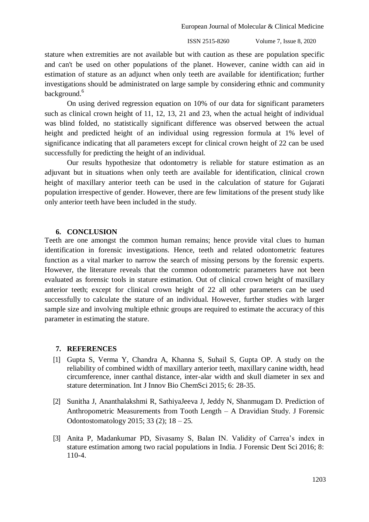European Journal of Molecular & Clinical Medicine

ISSN 2515-8260 Volume 7, Issue 8, 2020

stature when extremities are not available but with caution as these are population specific and can't be used on other populations of the planet. However, canine width can aid in estimation of stature as an adjunct when only teeth are available for identification; further investigations should be administrated on large sample by considering ethnic and community background.<sup>6</sup>

On using derived regression equation on 10% of our data for significant parameters such as clinical crown height of 11, 12, 13, 21 and 23, when the actual height of individual was blind folded, no statistically significant difference was observed between the actual height and predicted height of an individual using regression formula at 1% level of significance indicating that all parameters except for clinical crown height of 22 can be used successfully for predicting the height of an individual.

Our results hypothesize that odontometry is reliable for stature estimation as an adjuvant but in situations when only teeth are available for identification, clinical crown height of maxillary anterior teeth can be used in the calculation of stature for Gujarati population irrespective of gender. However, there are few limitations of the present study like only anterior teeth have been included in the study.

#### **6. CONCLUSION**

Teeth are one amongst the common human remains; hence provide vital clues to human identification in forensic investigations. Hence, teeth and related odontometric features function as a vital marker to narrow the search of missing persons by the forensic experts. However, the literature reveals that the common odontometric parameters have not been evaluated as forensic tools in stature estimation. Out of clinical crown height of maxillary anterior teeth; except for clinical crown height of 22 all other parameters can be used successfully to calculate the stature of an individual. However, further studies with larger sample size and involving multiple ethnic groups are required to estimate the accuracy of this parameter in estimating the stature.

#### **7. REFERENCES**

- [1] Gupta S, Verma Y, Chandra A, Khanna S, Suhail S, Gupta OP. A study on the reliability of combined width of maxillary anterior teeth, maxillary canine width, head circumference, inner canthal distance, inter-alar width and skull diameter in sex and stature determination. Int J Innov Bio ChemSci 2015; 6: 28-35.
- [2] Sunitha J, Ananthalakshmi R, SathiyaJeeva J, Jeddy N, Shanmugam D. Prediction of Anthropometric Measurements from Tooth Length – A Dravidian Study. J Forensic Odontostomatology 2015; 33 (2); 18 – 25.
- [3] Anita P, Madankumar PD, Sivasamy S, Balan IN. Validity of Carrea's index in stature estimation among two racial populations in India. J Forensic Dent Sci 2016; 8: 110-4.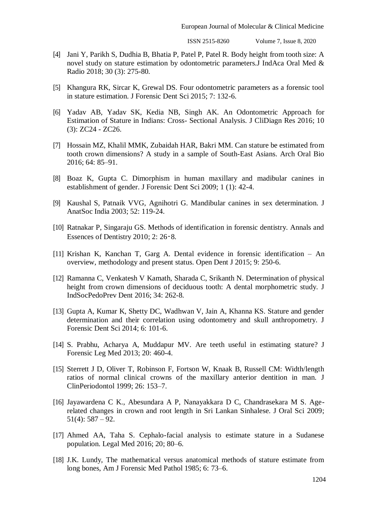- [4] Jani Y, Parikh S, Dudhia B, Bhatia P, Patel P, Patel R. Body height from tooth size: A novel study on stature estimation by odontometric parameters.J IndAca Oral Med & Radio 2018; 30 (3): 275-80.
- [5] Khangura RK, Sircar K, Grewal DS. Four odontometric parameters as a forensic tool in stature estimation. J Forensic Dent Sci 2015; 7: 132-6.
- [6] Yadav AB, Yadav SK, Kedia NB, Singh AK. An Odontometric Approach for Estimation of Stature in Indians: Cross- Sectional Analysis. J CliDiagn Res 2016; 10 (3): ZC24 - ZC26.
- [7] Hossain MZ, Khalil MMK, Zubaidah HAR, Bakri MM. Can stature be estimated from tooth crown dimensions? A study in a sample of South-East Asians. Arch Oral Bio 2016; 64: 85–91.
- [8] Boaz K, Gupta C. Dimorphism in human maxillary and madibular canines in establishment of gender. J Forensic Dent Sci 2009; 1 (1): 42-4.
- [9] Kaushal S, Patnaik VVG, Agnihotri G. Mandibular canines in sex determination. J AnatSoc India 2003; 52: 119-24.
- [10] Ratnakar P, Singaraju GS. Methods of identification in forensic dentistry. Annals and Essences of Dentistry 2010; 2: 26‑8.
- [11] Krishan K, Kanchan T, Garg A. Dental evidence in forensic identification An overview, methodology and present status. Open Dent J 2015; 9: 250-6.
- [12] Ramanna C, Venkatesh V Kamath, Sharada C, Srikanth N. Determination of physical height from crown dimensions of deciduous tooth: A dental morphometric study. J IndSocPedoPrev Dent 2016; 34: 262-8.
- [13] Gupta A, Kumar K, Shetty DC, Wadhwan V, Jain A, Khanna KS. Stature and gender determination and their correlation using odontometry and skull anthropometry. J Forensic Dent Sci 2014; 6: 101-6.
- [14] S. Prabhu, Acharya A, Muddapur MV. Are teeth useful in estimating stature? J Forensic Leg Med 2013; 20: 460-4.
- [15] Sterrett J D, Oliver T, Robinson F, Fortson W, Knaak B, Russell CM: Width/length ratios of normal clinical crowns of the maxillary anterior dentition in man. J ClinPeriodontol 1999; 26: 153–7.
- [16] Jayawardena C K., Abesundara A P, Nanayakkara D C, Chandrasekara M S. Agerelated changes in crown and root length in Sri Lankan Sinhalese. J Oral Sci 2009;  $51(4): 587 - 92.$
- [17] Ahmed AA, Taha S. Cephalo-facial analysis to estimate stature in a Sudanese population. Legal Med 2016; 20; 80–6.
- [18] J.K. Lundy, The mathematical versus anatomical methods of stature estimate from long bones, Am J Forensic Med Pathol 1985; 6: 73–6.